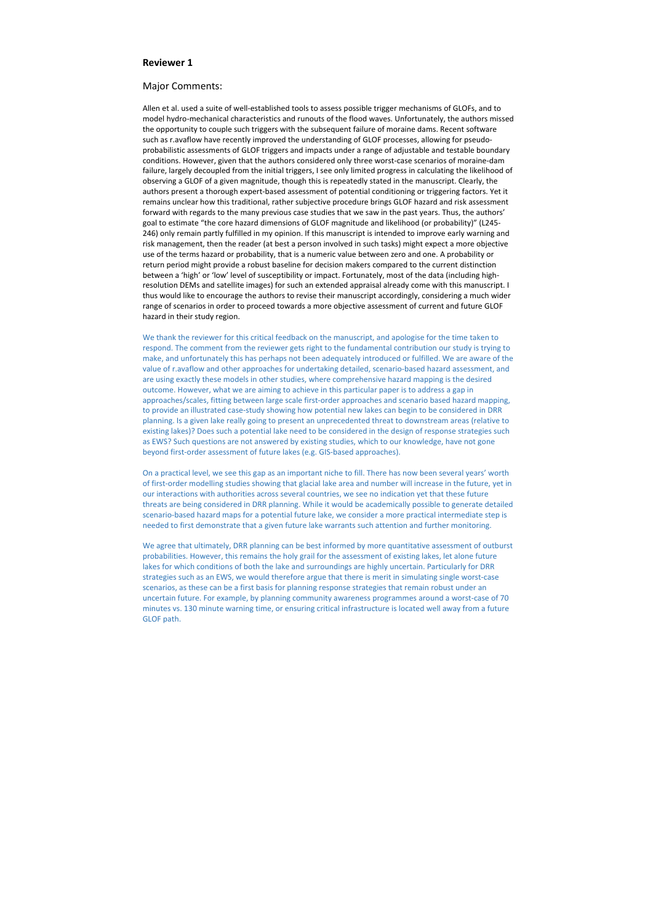# **Reviewer 1**

## Major Comments:

We thank the reviewer for this critical feedback on the manuscript, and apologise for the time taken to respond. The comment from the reviewer gets right to the fundamental contribution our study is trying to make, and unfortunately this has perhaps not been adequately introduced or fulfilled. We are aware of the value of r.avaflow and other approaches for undertaking detailed, scenario‐based hazard assessment, and are using exactly these models in other studies, where comprehensive hazard mapping is the desired outcome. However, what we are aiming to achieve in this particular paper is to address a gap in approaches/scales, fitting between large scale first-order approaches and scenario based hazard mapping, to provide an illustrated case‐study showing how potential new lakes can begin to be considered in DRR planning. Is a given lake really going to present an unprecedented threat to downstream areas (relative to existing lakes)? Does such a potential lake need to be considered in the design of response strategies such as EWS? Such questions are not answered by existing studies, which to our knowledge, have not gone beyond first-order assessment of future lakes (e.g. GIS-based approaches).

Allen et al. used a suite of well‐established tools to assess possible trigger mechanisms of GLOFs, and to model hydro‐mechanical characteristics and runouts of the flood waves. Unfortunately, the authors missed the opportunity to couple such triggers with the subsequent failure of moraine dams. Recent software such as r.avaflow have recently improved the understanding of GLOF processes, allowing for pseudoprobabilistic assessments of GLOF triggers and impacts under a range of adjustable and testable boundary conditions. However, given that the authors considered only three worst-case scenarios of moraine-dam failure, largely decoupled from the initial triggers, I see only limited progress in calculating the likelihood of observing a GLOF of a given magnitude, though this is repeatedly stated in the manuscript. Clearly, the authors present a thorough expert‐based assessment of potential conditioning or triggering factors. Yet it remains unclear how this traditional, rather subjective procedure brings GLOF hazard and risk assessment forward with regards to the many previous case studies that we saw in the past years. Thus, the authors' goal to estimate "the core hazard dimensions of GLOF magnitude and likelihood (or probability)" (L245‐ 246) only remain partly fulfilled in my opinion. If this manuscript is intended to improve early warning and risk management, then the reader (at best a person involved in such tasks) might expect a more objective use of the terms hazard or probability, that is a numeric value between zero and one. A probability or return period might provide a robust baseline for decision makers compared to the current distinction between a 'high' or 'low' level of susceptibility or impact. Fortunately, most of the data (including highresolution DEMs and satellite images) for such an extended appraisal already come with this manuscript. I thus would like to encourage the authors to revise their manuscript accordingly, considering a much wider range of scenarios in order to proceed towards a more objective assessment of current and future GLOF hazard in their study region.

On a practical level, we see this gap as an important niche to fill. There has now been several years' worth of first‐order modelling studies showing that glacial lake area and number will increase in the future, yet in our interactions with authorities across several countries, we see no indication yet that these future threats are being considered in DRR planning. While it would be academically possible to generate detailed scenario‐based hazard maps for a potential future lake, we consider a more practical intermediate step is needed to first demonstrate that a given future lake warrants such attention and further monitoring.

We agree that ultimately, DRR planning can be best informed by more quantitative assessment of outburst probabilities. However, this remains the holy grail for the assessment of existing lakes, let alone future lakes for which conditions of both the lake and surroundings are highly uncertain. Particularly for DRR strategies such as an EWS, we would therefore argue that there is merit in simulating single worst‐case scenarios, as these can be a first basis for planning response strategies that remain robust under an uncertain future. For example, by planning community awareness programmes around a worst‐case of 70 minutes vs. 130 minute warning time, or ensuring critical infrastructure is located well away from a future GLOF path.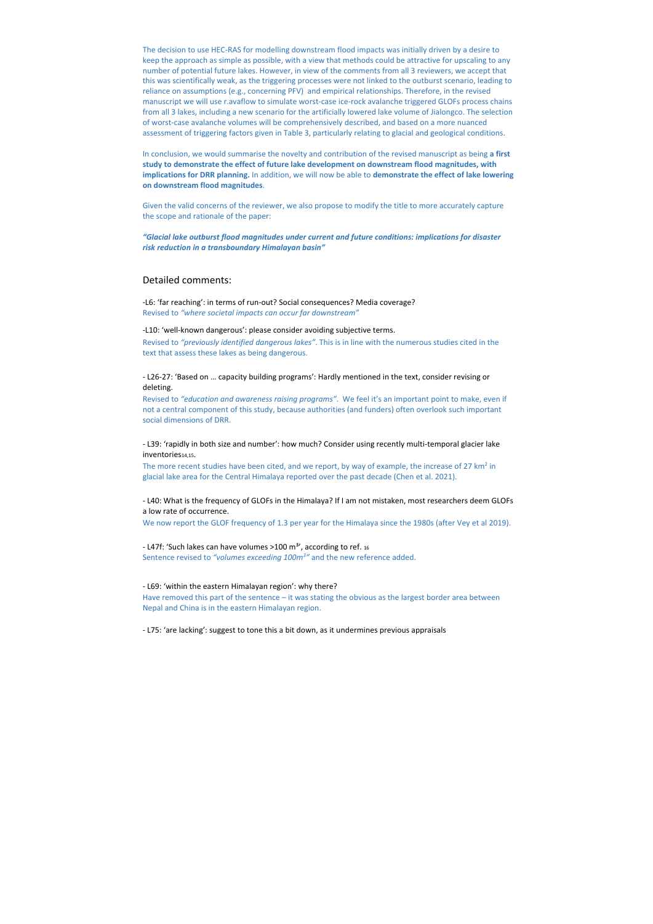The decision to use HEC‐RAS for modelling downstream flood impacts was initially driven by a desire to keep the approach as simple as possible, with a view that methods could be attractive for upscaling to any number of potential future lakes. However, in view of the comments from all 3 reviewers, we accept that this was scientifically weak, as the triggering processes were not linked to the outburst scenario, leading to reliance on assumptions (e.g., concerning PFV) and empirical relationships. Therefore, in the revised manuscript we will use r.avaflow to simulate worst-case ice-rock avalanche triggered GLOFs process chains from all 3 lakes, including a new scenario for the artificially lowered lake volume of Jialongco. The selection of worst‐case avalanche volumes will be comprehensively described, and based on a more nuanced assessment of triggering factors given in Table 3, particularly relating to glacial and geological conditions.

In conclusion, we would summarise the novelty and contribution of the revised manuscript as being **a first study to demonstrate the effect of future lake development on downstream flood magnitudes, with implications for DRR planning.** In addition, we will now be able to **demonstrate the effect of lake lowering on downstream flood magnitudes**.

‐ L39: 'rapidly in both size and number': how much? Consider using recently multi‐temporal glacier lake inventories<sub>14,15</sub>.

The more recent studies have been cited, and we report, by way of example, the increase of 27 km<sup>2</sup> in glacial lake area for the Central Himalaya reported over the past decade (Chen et al. 2021).

Given the valid concerns of the reviewer, we also propose to modify the title to more accurately capture the scope and rationale of the paper:

*"Glacial lake outburst flood magnitudes under current and future conditions: implications for disaster risk reduction in a transboundary Himalayan basin"* 

- L47f: 'Such lakes can have volumes >100  $m<sup>3</sup>'$ , according to ref. 16 Sentence revised to *"volumes exceeding 100m3 "* and the new reference added.

# Detailed comments:

‐L6: 'far reaching': in terms of run‐out? Social consequences? Media coverage? Revised to *"where societal impacts can occur far downstream"*

‐L10: 'well‐known dangerous': please consider avoiding subjective terms. Revised to *"previously identified dangerous lakes"*. This is in line with the numerous studies cited in the text that assess these lakes as being dangerous.

‐ L26‐27: 'Based on … capacity building programs': Hardly mentioned in the text, consider revising or deleting.

Revised to *"education and awareness raising programs"*. We feel it's an important point to make, even if not a central component of this study, because authorities (and funders) often overlook such important social dimensions of DRR.

‐ L40: What is the frequency of GLOFs in the Himalaya? If I am not mistaken, most researchers deem GLOFs a low rate of occurrence.

We now report the GLOF frequency of 1.3 per year for the Himalaya since the 1980s (after Vey et al 2019).

#### ‐ L69: 'within the eastern Himalayan region': why there?

Have removed this part of the sentence – it was stating the obvious as the largest border area between Nepal and China is in the eastern Himalayan region.

‐ L75: 'are lacking': suggest to tone this a bit down, as it undermines previous appraisals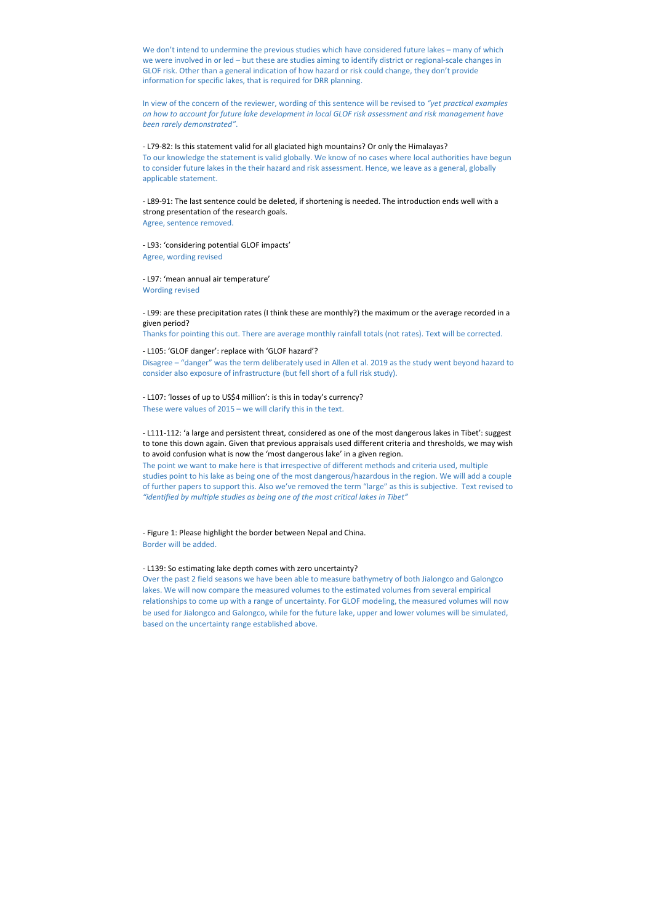We don't intend to undermine the previous studies which have considered future lakes – many of which we were involved in or led – but these are studies aiming to identify district or regional-scale changes in GLOF risk. Other than a general indication of how hazard or risk could change, they don't provide information for specific lakes, that is required for DRR planning.

In view of the concern of the reviewer, wording of this sentence will be revised to *"yet practical examples on how to account for future lake development in local GLOF risk assessment and risk management have been rarely demonstrated"*.

‐ L79‐82: Is this statement valid for all glaciated high mountains? Or only the Himalayas? To our knowledge the statement is valid globally. We know of no cases where local authorities have begun to consider future lakes in the their hazard and risk assessment. Hence, we leave as a general, globally applicable statement.

‐ L89‐91: The last sentence could be deleted, if shortening is needed. The introduction ends well with a strong presentation of the research goals. Agree, sentence removed.

‐ L93: 'considering potential GLOF impacts' Agree, wording revised

‐ L97: 'mean annual air temperature' Wording revised

‐ L99: are these precipitation rates (I think these are monthly?) the maximum or the average recorded in a given period?

Thanks for pointing this out. There are average monthly rainfall totals (not rates). Text will be corrected.

‐ L105: 'GLOF danger': replace with 'GLOF hazard'?

Disagree – "danger" was the term deliberately used in Allen et al. 2019 as the study went beyond hazard to consider also exposure of infrastructure (but fell short of a full risk study).

‐ L107: 'losses of up to US\$4 million': is this in today's currency? These were values of 2015 – we will clarify this in the text.

‐ L111‐112: 'a large and persistent threat, considered as one of the most dangerous lakes in Tibet': suggest to tone this down again. Given that previous appraisals used different criteria and thresholds, we may wish to avoid confusion what is now the 'most dangerous lake' in a given region.

The point we want to make here is that irrespective of different methods and criteria used, multiple studies point to his lake as being one of the most dangerous/hazardous in the region. We will add a couple of further papers to support this. Also we've removed the term "large" as this is subjective. Text revised to *"identified by multiple studies as being one of the most critical lakes in Tibet"*

‐ Figure 1: Please highlight the border between Nepal and China. Border will be added.

‐ L139: So estimating lake depth comes with zero uncertainty?

Over the past 2 field seasons we have been able to measure bathymetry of both Jialongco and Galongco lakes. We will now compare the measured volumes to the estimated volumes from several empirical relationships to come up with a range of uncertainty. For GLOF modeling, the measured volumes will now be used for Jialongco and Galongco, while for the future lake, upper and lower volumes will be simulated, based on the uncertainty range established above.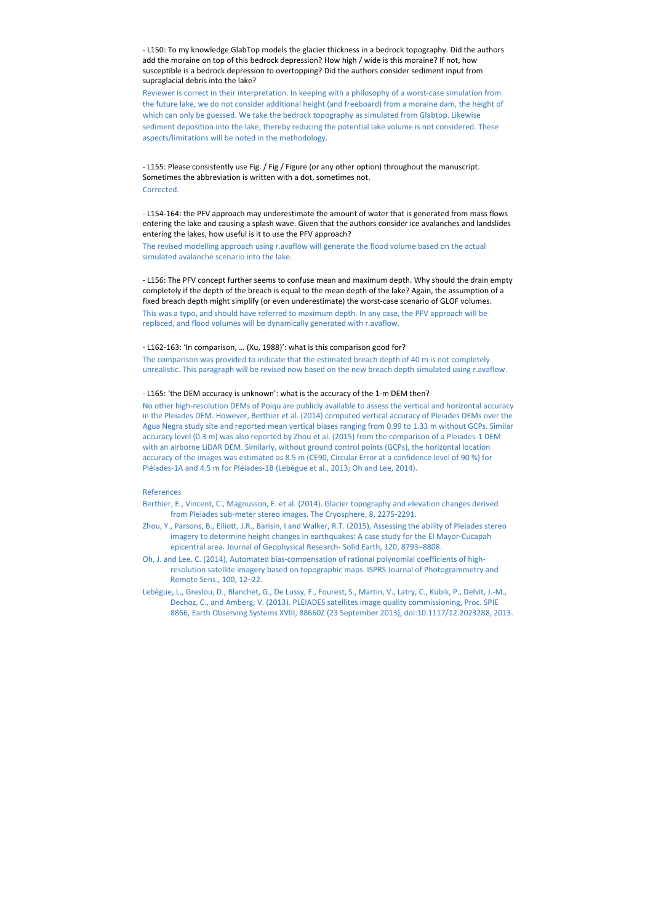‐ L150: To my knowledge GlabTop models the glacier thickness in a bedrock topography. Did the authors add the moraine on top of this bedrock depression? How high / wide is this moraine? If not, how susceptible is a bedrock depression to overtopping? Did the authors consider sediment input from supraglacial debris into the lake?

Reviewer is correct in their interpretation. In keeping with a philosophy of a worst‐case simulation from the future lake, we do not consider additional height (and freeboard) from a moraine dam, the height of which can only be guessed. We take the bedrock topography as simulated from Glabtop. Likewise sediment deposition into the lake, thereby reducing the potential lake volume is not considered. These aspects/limitations will be noted in the methodology.

‐ L155: Please consistently use Fig. / Fig / Figure (or any other option) throughout the manuscript. Sometimes the abbreviation is written with a dot, sometimes not. Corrected.

‐ L154‐164: the PFV approach may underestimate the amount of water that is generated from mass flows entering the lake and causing a splash wave. Given that the authors consider ice avalanches and landslides entering the lakes, how useful is it to use the PFV approach?

The revised modelling approach using r.avaflow will generate the flood volume based on the actual simulated avalanche scenario into the lake.

‐ L156: The PFV concept further seems to confuse mean and maximum depth. Why should the drain empty completely if the depth of the breach is equal to the mean depth of the lake? Again, the assumption of a fixed breach depth might simplify (or even underestimate) the worst-case scenario of GLOF volumes. This was a typo, and should have referred to maximum depth. In any case, the PFV approach will be replaced, and flood volumes will be dynamically generated with r.avaflow.

#### ‐ L162‐163: 'In comparison, … (Xu, 1988)': what is this comparison good for?

The comparison was provided to indicate that the estimated breach depth of 40 m is not completely unrealistic. This paragraph will be revised now based on the new breach depth simulated using r.avaflow.

#### ‐ L165: 'the DEM accuracy is unknown': what is the accuracy of the 1‐m DEM then?

No other high‐resolution DEMs of Poiqu are publicly available to assess the vertical and horizontal accuracy in the Pleiades DEM. However, Berthier et al. (2014) computed vertical accuracy of Pleiades DEMs over the Agua Negra study site and reported mean vertical biases ranging from 0.99 to 1.33 m without GCPs. Similar accuracy level (0.3 m) was also reported by Zhou et al. (2015) from the comparison of a Pleiades‐1 DEM with an airborne LiDAR DEM. Similarly, without ground control points (GCPs), the horizontal location accuracy of the images was estimated as 8.5 m (CE90, Circular Error at a confidence level of 90 %) for Pléiades‐1A and 4.5 m for Pléiades‐1B (Lebègue et al., 2013; Oh and Lee, 2014).

## References

- Berthier, E., Vincent, C., Magnusson, E. et al. (2014). Glacier topography and elevation changes derived from Pleiades sub‐meter stereo images. The Cryosphere, 8, 2275‐2291.
- Zhou, Y., Parsons, B., Elliott, J.R., Barisin, I and Walker, R.T. (2015), Assessing the ability of Pleiades stereo imagery to determine height changes in earthquakes: A case study for the El Mayor‐Cucapah epicentral area. Journal of Geophysical Research‐ Solid Earth, 120, 8793–8808.
- Oh, J. and Lee. C. (2014), Automated bias-compensation of rational polynomial coefficients of highresolution satellite imagery based on topographic maps. ISPRS Journal of Photogrammetry and Remote Sens., 100, 12–22.
- Lebègue, L., Greslou, D., Blanchet, G., De Lussy, F., Fourest, S., Martin, V., Latry, C., Kubik, P., Delvit, J.‐M., Dechoz, C., and Amberg, V. (2013). PLEIADES satellites image quality commissioning, Proc. SPIE 8866, Earth Observing Systems XVIII, 88660Z (23 September 2013), doi:10.1117/12.2023288, 2013.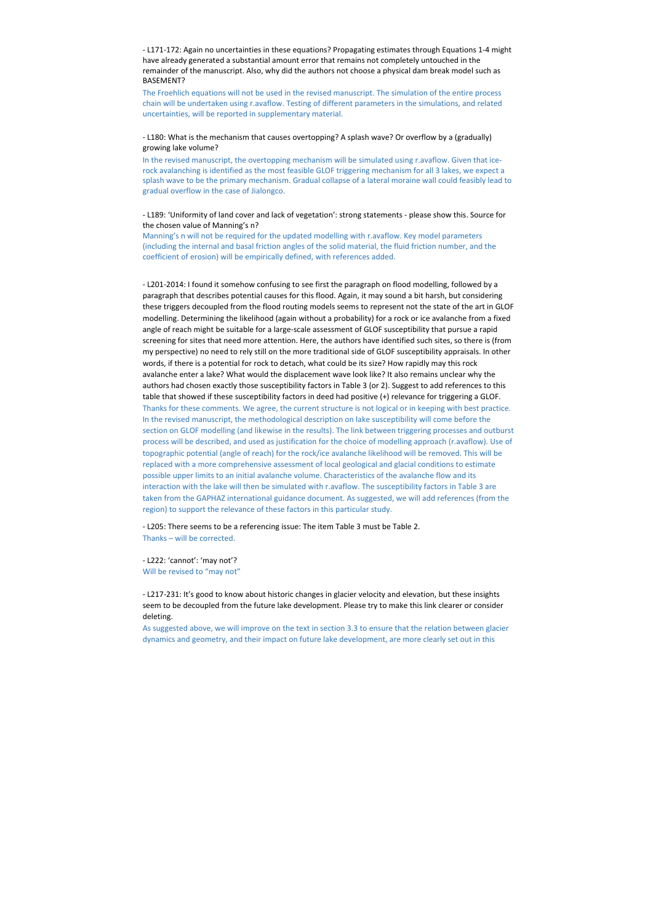‐ L171‐172: Again no uncertainties in these equations? Propagating estimates through Equations 1‐4 might have already generated a substantial amount error that remains not completely untouched in the remainder of the manuscript. Also, why did the authors not choose a physical dam break model such as BASEMENT?

The Froehlich equations will not be used in the revised manuscript. The simulation of the entire process chain will be undertaken using r.avaflow. Testing of different parameters in the simulations, and related uncertainties, will be reported in supplementary material.

In the revised manuscript, the overtopping mechanism will be simulated using r.avaflow. Given that icerock avalanching is identified as the most feasible GLOF triggering mechanism for all 3 lakes, we expect a splash wave to be the primary mechanism. Gradual collapse of a lateral moraine wall could feasibly lead to gradual overflow in the case of Jialongco.

‐ L180: What is the mechanism that causes overtopping? A splash wave? Or overflow by a (gradually) growing lake volume?

‐ L189: 'Uniformity of land cover and lack of vegetation': strong statements ‐ please show this. Source for the chosen value of Manning's n?

Manning's n will not be required for the updated modelling with r.avaflow. Key model parameters (including the internal and basal friction angles of the solid material, the fluid friction number, and the coefficient of erosion) will be empirically defined, with references added.

‐ L201‐2014: I found it somehow confusing to see first the paragraph on flood modelling, followed by a paragraph that describes potential causes for this flood. Again, it may sound a bit harsh, but considering these triggers decoupled from the flood routing models seems to represent not the state of the art in GLOF modelling. Determining the likelihood (again without a probability) for a rock or ice avalanche from a fixed angle of reach might be suitable for a large-scale assessment of GLOF susceptibility that pursue a rapid screening for sites that need more attention. Here, the authors have identified such sites, so there is (from my perspective) no need to rely still on the more traditional side of GLOF susceptibility appraisals. In other words, if there is a potential for rock to detach, what could be its size? How rapidly may this rock avalanche enter a lake? What would the displacement wave look like? It also remains unclear why the authors had chosen exactly those susceptibility factors in Table 3 (or 2). Suggest to add references to this table that showed if these susceptibility factors in deed had positive (+) relevance for triggering a GLOF. Thanks for these comments. We agree, the current structure is not logical or in keeping with best practice. In the revised manuscript, the methodological description on lake susceptibility will come before the section on GLOF modelling (and likewise in the results). The link between triggering processes and outburst process will be described, and used as justification for the choice of modelling approach (r.avaflow). Use of topographic potential (angle of reach) for the rock/ice avalanche likelihood will be removed. This will be replaced with a more comprehensive assessment of local geological and glacial conditions to estimate possible upper limits to an initial avalanche volume. Characteristics of the avalanche flow and its interaction with the lake will then be simulated with r.avaflow. The susceptibility factors in Table 3 are taken from the GAPHAZ international guidance document. As suggested, we will add references (from the region) to support the relevance of these factors in this particular study.

‐ L205: There seems to be a referencing issue: The item Table 3 must be Table 2. Thanks – will be corrected.

‐ L222: 'cannot': 'may not'? Will be revised to "may not"

‐ L217‐231: It's good to know about historic changes in glacier velocity and elevation, but these insights seem to be decoupled from the future lake development. Please try to make this link clearer or consider deleting.

As suggested above, we will improve on the text in section 3.3 to ensure that the relation between glacier dynamics and geometry, and their impact on future lake development, are more clearly set out in this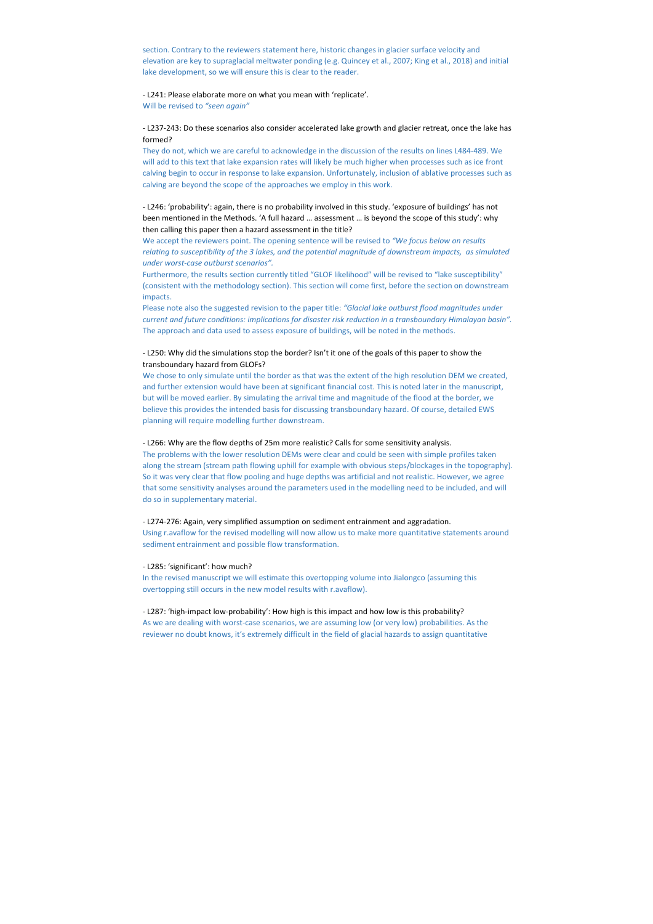section. Contrary to the reviewers statement here, historic changes in glacier surface velocity and elevation are key to supraglacial meltwater ponding (e.g. Quincey et al., 2007; King et al., 2018) and initial lake development, so we will ensure this is clear to the reader.

‐ L241: Please elaborate more on what you mean with 'replicate'.

Will be revised to *"seen again"* 

# ‐ L237‐243: Do these scenarios also consider accelerated lake growth and glacier retreat, once the lake has formed?

They do not, which we are careful to acknowledge in the discussion of the results on lines L484‐489. We will add to this text that lake expansion rates will likely be much higher when processes such as ice front calving begin to occur in response to lake expansion. Unfortunately, inclusion of ablative processes such as calving are beyond the scope of the approaches we employ in this work.

‐ L246: 'probability': again, there is no probability involved in this study. 'exposure of buildings' has not been mentioned in the Methods. 'A full hazard … assessment … is beyond the scope of this study': why then calling this paper then a hazard assessment in the title?

We accept the reviewers point. The opening sentence will be revised to *"We focus below on results relating to susceptibility of the 3 lakes, and the potential magnitude of downstream impacts, as simulated under worst‐case outburst scenarios".* 

Furthermore, the results section currently titled "GLOF likelihood" will be revised to "lake susceptibility" (consistent with the methodology section). This section will come first, before the section on downstream impacts.

Please note also the suggested revision to the paper title: *"Glacial lake outburst flood magnitudes under current and future conditions: implications for disaster risk reduction in a transboundary Himalayan basin".* The approach and data used to assess exposure of buildings, will be noted in the methods.

As we are dealing with worst-case scenarios, we are assuming low (or very low) probabilities. As the reviewer no doubt knows, it's extremely difficult in the field of glacial hazards to assign quantitative

# ‐ L250: Why did the simulations stop the border? Isn't it one of the goals of this paper to show the transboundary hazard from GLOFs?

We chose to only simulate until the border as that was the extent of the high resolution DEM we created, and further extension would have been at significant financial cost. This is noted later in the manuscript, but will be moved earlier. By simulating the arrival time and magnitude of the flood at the border, we believe this provides the intended basis for discussing transboundary hazard. Of course, detailed EWS planning will require modelling further downstream.

### ‐ L266: Why are the flow depths of 25m more realistic? Calls for some sensitivity analysis.

The problems with the lower resolution DEMs were clear and could be seen with simple profiles taken along the stream (stream path flowing uphill for example with obvious steps/blockages in the topography). So it was very clear that flow pooling and huge depths was artificial and not realistic. However, we agree that some sensitivity analyses around the parameters used in the modelling need to be included, and will do so in supplementary material.

### ‐ L274‐276: Again, very simplified assumption on sediment entrainment and aggradation.

Using r.avaflow for the revised modelling will now allow us to make more quantitative statements around sediment entrainment and possible flow transformation.

#### ‐ L285: 'significant': how much?

In the revised manuscript we will estimate this overtopping volume into Jialongco (assuming this overtopping still occurs in the new model results with r.avaflow).

#### ‐ L287: 'high‐impact low‐probability': How high is this impact and how low is this probability?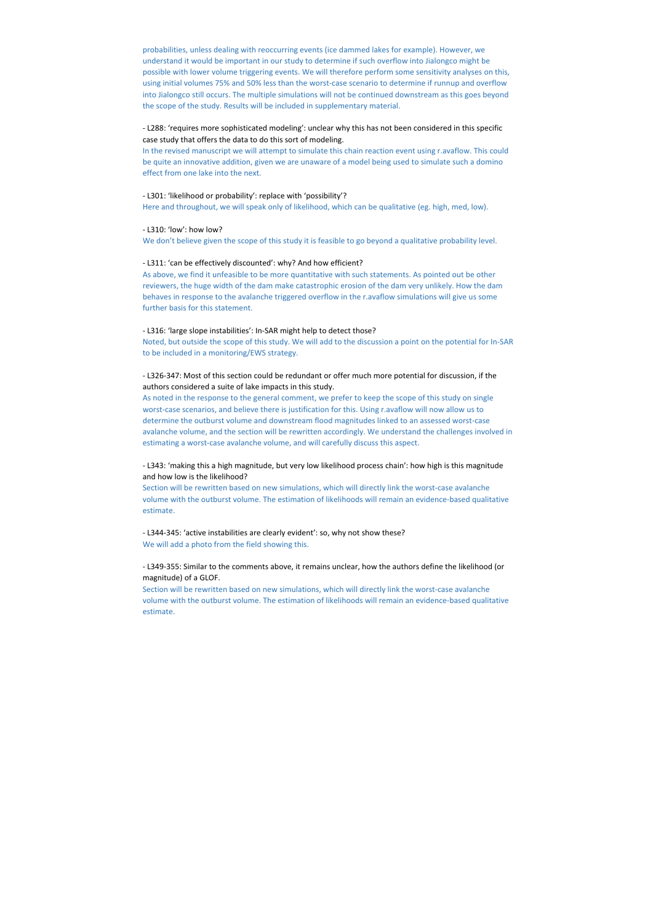probabilities, unless dealing with reoccurring events (ice dammed lakes for example). However, we understand it would be important in our study to determine if such overflow into Jialongco might be possible with lower volume triggering events. We will therefore perform some sensitivity analyses on this, using initial volumes 75% and 50% less than the worst‐case scenario to determine if runnup and overflow into Jialongco still occurs. The multiple simulations will not be continued downstream as this goes beyond the scope of the study. Results will be included in supplementary material.

# ‐ L288: 'requires more sophisticated modeling': unclear why this has not been considered in this specific case study that offers the data to do this sort of modeling.

In the revised manuscript we will attempt to simulate this chain reaction event using r.avaflow. This could be quite an innovative addition, given we are unaware of a model being used to simulate such a domino effect from one lake into the next.

# ‐ L301: 'likelihood or probability': replace with 'possibility'?

As noted in the response to the general comment, we prefer to keep the scope of this study on single worst-case scenarios, and believe there is justification for this. Using r.avaflow will now allow us to determine the outburst volume and downstream flood magnitudes linked to an assessed worst‐case avalanche volume, and the section will be rewritten accordingly. We understand the challenges involved in estimating a worst-case avalanche volume, and will carefully discuss this aspect.

Here and throughout, we will speak only of likelihood, which can be qualitative (eg. high, med, low).

### ‐ L310: 'low': how low?

We don't believe given the scope of this study it is feasible to go beyond a qualitative probability level.

### ‐ L311: 'can be effectively discounted': why? And how efficient?

Section will be rewritten based on new simulations, which will directly link the worst-case avalanche volume with the outburst volume. The estimation of likelihoods will remain an evidence‐based qualitative estimate.

As above, we find it unfeasible to be more quantitative with such statements. As pointed out be other reviewers, the huge width of the dam make catastrophic erosion of the dam very unlikely. How the dam behaves in response to the avalanche triggered overflow in the r.avaflow simulations will give us some further basis for this statement.

Section will be rewritten based on new simulations, which will directly link the worst-case avalanche volume with the outburst volume. The estimation of likelihoods will remain an evidence‐based qualitative estimate.

## ‐ L316: 'large slope instabilities': In‐SAR might help to detect those?

Noted, but outside the scope of this study. We will add to the discussion a point on the potential for In‐SAR to be included in a monitoring/EWS strategy.

# ‐ L326‐347: Most of this section could be redundant or offer much more potential for discussion, if the authors considered a suite of lake impacts in this study.

# ‐ L343: 'making this a high magnitude, but very low likelihood process chain': how high is this magnitude and how low is the likelihood?

‐ L344‐345: 'active instabilities are clearly evident': so, why not show these? We will add a photo from the field showing this.

‐ L349‐355: Similar to the comments above, it remains unclear, how the authors define the likelihood (or magnitude) of a GLOF.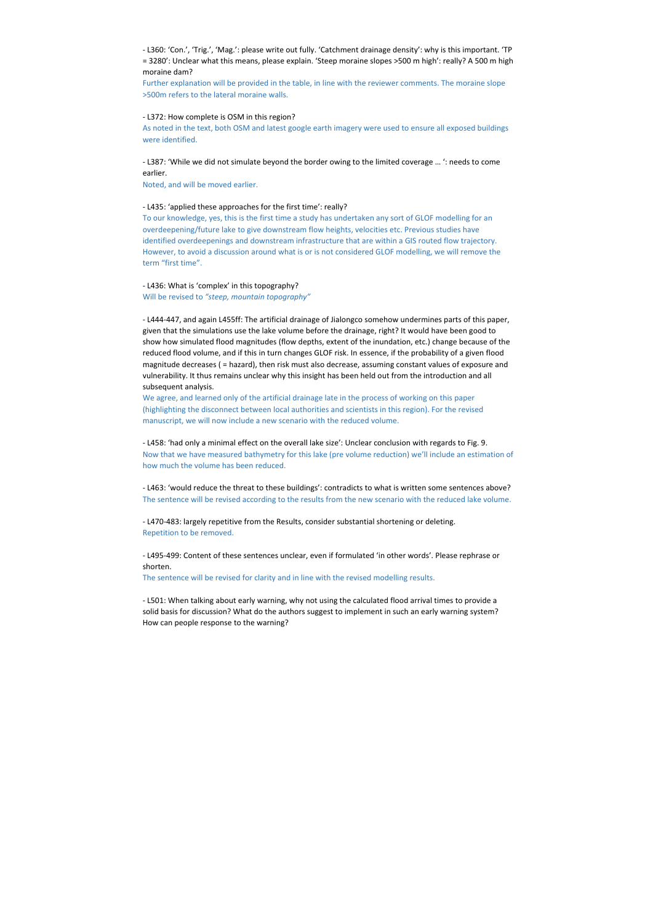‐ L360: 'Con.', 'Trig.', 'Mag.': please write out fully. 'Catchment drainage density': why is this important. 'TP = 3280': Unclear what this means, please explain. 'Steep moraine slopes >500 m high': really? A 500 m high moraine dam?

Further explanation will be provided in the table, in line with the reviewer comments. The moraine slope >500m refers to the lateral moraine walls.

### ‐ L372: How complete is OSM in this region?

As noted in the text, both OSM and latest google earth imagery were used to ensure all exposed buildings were identified.

‐ L387: 'While we did not simulate beyond the border owing to the limited coverage … ': needs to come earlier.

Noted, and will be moved earlier.

### ‐ L435: 'applied these approaches for the first time': really?

To our knowledge, yes, this is the first time a study has undertaken any sort of GLOF modelling for an overdeepening/future lake to give downstream flow heights, velocities etc. Previous studies have identified overdeepenings and downstream infrastructure that are within a GIS routed flow trajectory. However, to avoid a discussion around what is or is not considered GLOF modelling, we will remove the term "first time".

‐ L436: What is 'complex' in this topography? Will be revised to *"steep, mountain topography"* 

‐ L444‐447, and again L455ff: The artificial drainage of Jialongco somehow undermines parts of this paper, given that the simulations use the lake volume before the drainage, right? It would have been good to show how simulated flood magnitudes (flow depths, extent of the inundation, etc.) change because of the reduced flood volume, and if this in turn changes GLOF risk. In essence, if the probability of a given flood magnitude decreases ( = hazard), then risk must also decrease, assuming constant values of exposure and vulnerability. It thus remains unclear why this insight has been held out from the introduction and all subsequent analysis.

We agree, and learned only of the artificial drainage late in the process of working on this paper (highlighting the disconnect between local authorities and scientists in this region). For the revised manuscript, we will now include a new scenario with the reduced volume.

‐ L458: 'had only a minimal effect on the overall lake size': Unclear conclusion with regards to Fig. 9. Now that we have measured bathymetry for this lake (pre volume reduction) we'll include an estimation of how much the volume has been reduced.

‐ L463: 'would reduce the threat to these buildings': contradicts to what is written some sentences above? The sentence will be revised according to the results from the new scenario with the reduced lake volume.

‐ L470‐483: largely repetitive from the Results, consider substantial shortening or deleting. Repetition to be removed.

‐ L495‐499: Content of these sentences unclear, even if formulated 'in other words'. Please rephrase or shorten.

The sentence will be revised for clarity and in line with the revised modelling results.

‐ L501: When talking about early warning, why not using the calculated flood arrival times to provide a solid basis for discussion? What do the authors suggest to implement in such an early warning system? How can people response to the warning?